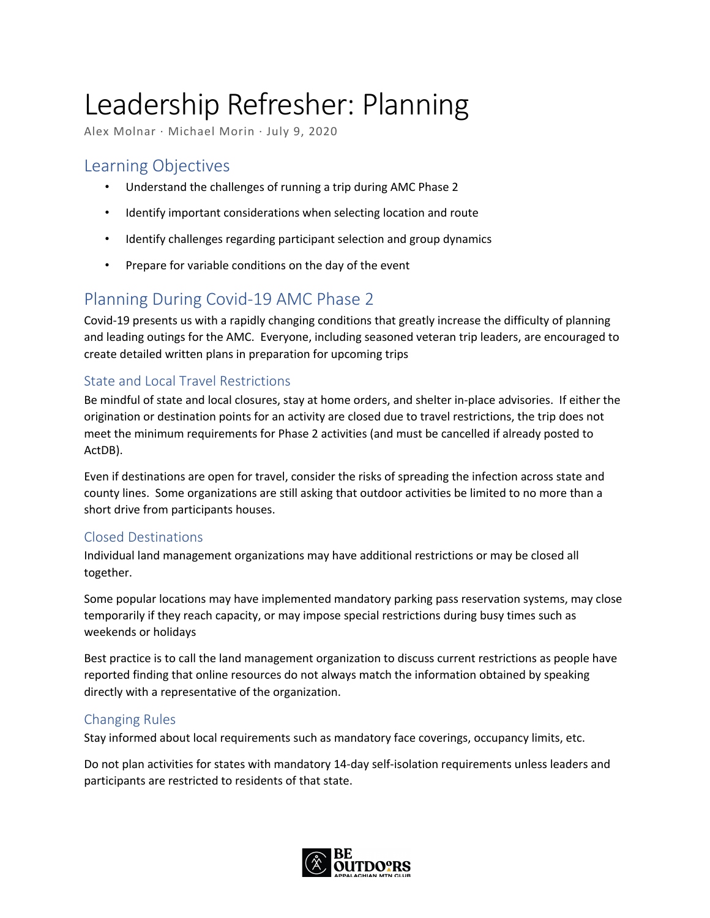# Leadership Refresher: Planning

Alex Molnar · Michael Morin · July 9, 2020

# Learning Objectives

- Understand the challenges of running a trip during AMC Phase 2
- Identify important considerations when selecting location and route
- Identify challenges regarding participant selection and group dynamics
- Prepare for variable conditions on the day of the event

# Planning During Covid-19 AMC Phase 2

Covid-19 presents us with a rapidly changing conditions that greatly increase the difficulty of planning and leading outings for the AMC. Everyone, including seasoned veteran trip leaders, are encouraged to create detailed written plans in preparation for upcoming trips

# State and Local Travel Restrictions

Be mindful of state and local closures, stay at home orders, and shelter in-place advisories. If either the origination or destination points for an activity are closed due to travel restrictions, the trip does not meet the minimum requirements for Phase 2 activities (and must be cancelled if already posted to ActDB).

Even if destinations are open for travel, consider the risks of spreading the infection across state and county lines. Some organizations are still asking that outdoor activities be limited to no more than a short drive from participants houses.

## Closed Destinations

Individual land management organizations may have additional restrictions or may be closed all together.

Some popular locations may have implemented mandatory parking pass reservation systems, may close temporarily if they reach capacity, or may impose special restrictions during busy times such as weekends or holidays

Best practice is to call the land management organization to discuss current restrictions as people have reported finding that online resources do not always match the information obtained by speaking directly with a representative of the organization.

## Changing Rules

Stay informed about local requirements such as mandatory face coverings, occupancy limits, etc.

Do not plan activities for states with mandatory 14-day self-isolation requirements unless leaders and participants are restricted to residents of that state.

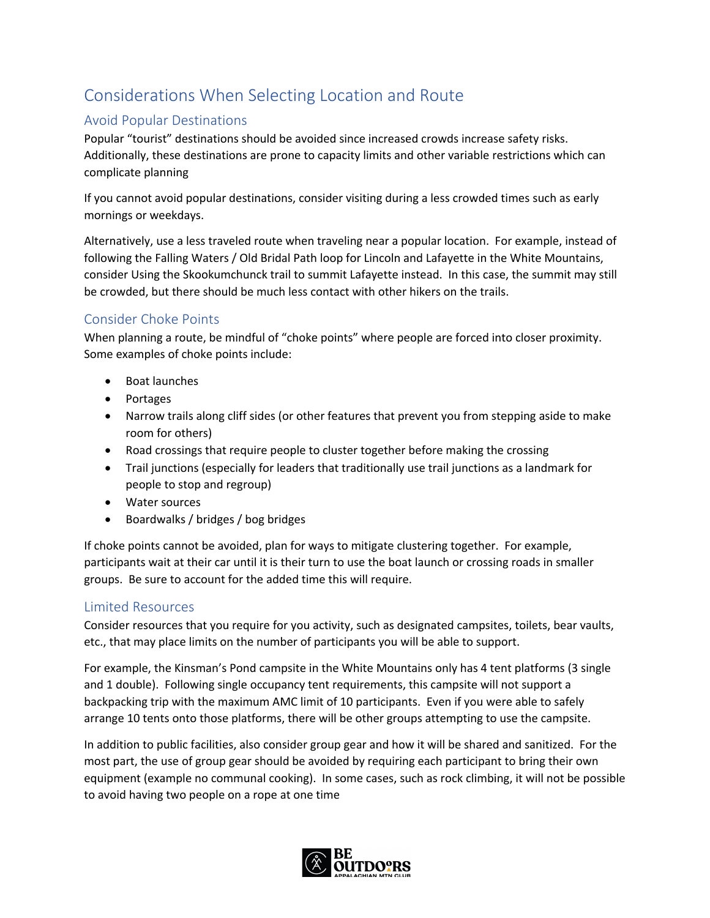# Considerations When Selecting Location and Route

# Avoid Popular Destinations

Popular "tourist" destinations should be avoided since increased crowds increase safety risks. Additionally, these destinations are prone to capacity limits and other variable restrictions which can complicate planning

If you cannot avoid popular destinations, consider visiting during a less crowded times such as early mornings or weekdays.

Alternatively, use a less traveled route when traveling near a popular location. For example, instead of following the Falling Waters / Old Bridal Path loop for Lincoln and Lafayette in the White Mountains, consider Using the Skookumchunck trail to summit Lafayette instead. In this case, the summit may still be crowded, but there should be much less contact with other hikers on the trails.

# Consider Choke Points

When planning a route, be mindful of "choke points" where people are forced into closer proximity. Some examples of choke points include:

- Boat launches
- Portages
- Narrow trails along cliff sides (or other features that prevent you from stepping aside to make room for others)
- Road crossings that require people to cluster together before making the crossing
- Trail junctions (especially for leaders that traditionally use trail junctions as a landmark for people to stop and regroup)
- Water sources
- Boardwalks / bridges / bog bridges

If choke points cannot be avoided, plan for ways to mitigate clustering together. For example, participants wait at their car until it is their turn to use the boat launch or crossing roads in smaller groups. Be sure to account for the added time this will require.

## Limited Resources

Consider resources that you require for you activity, such as designated campsites, toilets, bear vaults, etc., that may place limits on the number of participants you will be able to support.

For example, the Kinsman's Pond campsite in the White Mountains only has 4 tent platforms (3 single and 1 double). Following single occupancy tent requirements, this campsite will not support a backpacking trip with the maximum AMC limit of 10 participants. Even if you were able to safely arrange 10 tents onto those platforms, there will be other groups attempting to use the campsite.

In addition to public facilities, also consider group gear and how it will be shared and sanitized. For the most part, the use of group gear should be avoided by requiring each participant to bring their own equipment (example no communal cooking). In some cases, such as rock climbing, it will not be possible to avoid having two people on a rope at one time

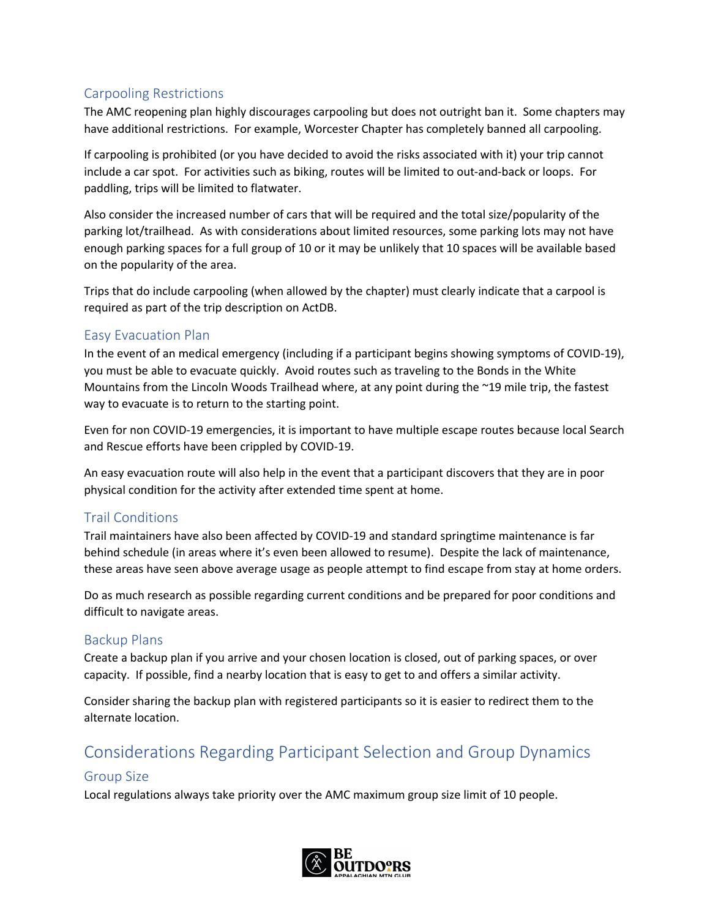## Carpooling Restrictions

The AMC reopening plan highly discourages carpooling but does not outright ban it. Some chapters may have additional restrictions. For example, Worcester Chapter has completely banned all carpooling.

If carpooling is prohibited (or you have decided to avoid the risks associated with it) your trip cannot include a car spot. For activities such as biking, routes will be limited to out-and-back or loops. For paddling, trips will be limited to flatwater.

Also consider the increased number of cars that will be required and the total size/popularity of the parking lot/trailhead. As with considerations about limited resources, some parking lots may not have enough parking spaces for a full group of 10 or it may be unlikely that 10 spaces will be available based on the popularity of the area.

Trips that do include carpooling (when allowed by the chapter) must clearly indicate that a carpool is required as part of the trip description on ActDB.

## Easy Evacuation Plan

In the event of an medical emergency (including if a participant begins showing symptoms of COVID-19), you must be able to evacuate quickly. Avoid routes such as traveling to the Bonds in the White Mountains from the Lincoln Woods Trailhead where, at any point during the ~19 mile trip, the fastest way to evacuate is to return to the starting point.

Even for non COVID-19 emergencies, it is important to have multiple escape routes because local Search and Rescue efforts have been crippled by COVID-19.

An easy evacuation route will also help in the event that a participant discovers that they are in poor physical condition for the activity after extended time spent at home.

## Trail Conditions

Trail maintainers have also been affected by COVID-19 and standard springtime maintenance is far behind schedule (in areas where it's even been allowed to resume). Despite the lack of maintenance, these areas have seen above average usage as people attempt to find escape from stay at home orders.

Do as much research as possible regarding current conditions and be prepared for poor conditions and difficult to navigate areas.

## Backup Plans

Create a backup plan if you arrive and your chosen location is closed, out of parking spaces, or over capacity. If possible, find a nearby location that is easy to get to and offers a similar activity.

Consider sharing the backup plan with registered participants so it is easier to redirect them to the alternate location.

# Considerations Regarding Participant Selection and Group Dynamics

# Group Size

Local regulations always take priority over the AMC maximum group size limit of 10 people.

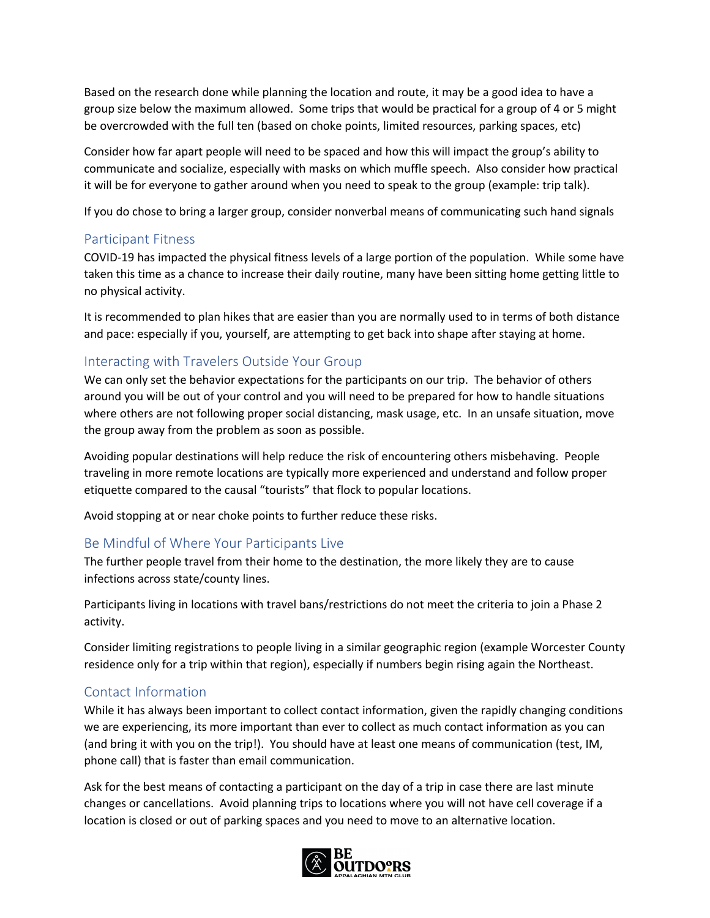Based on the research done while planning the location and route, it may be a good idea to have a group size below the maximum allowed. Some trips that would be practical for a group of 4 or 5 might be overcrowded with the full ten (based on choke points, limited resources, parking spaces, etc)

Consider how far apart people will need to be spaced and how this will impact the group's ability to communicate and socialize, especially with masks on which muffle speech. Also consider how practical it will be for everyone to gather around when you need to speak to the group (example: trip talk).

If you do chose to bring a larger group, consider nonverbal means of communicating such hand signals

#### Participant Fitness

COVID-19 has impacted the physical fitness levels of a large portion of the population. While some have taken this time as a chance to increase their daily routine, many have been sitting home getting little to no physical activity.

It is recommended to plan hikes that are easier than you are normally used to in terms of both distance and pace: especially if you, yourself, are attempting to get back into shape after staying at home.

## Interacting with Travelers Outside Your Group

We can only set the behavior expectations for the participants on our trip. The behavior of others around you will be out of your control and you will need to be prepared for how to handle situations where others are not following proper social distancing, mask usage, etc. In an unsafe situation, move the group away from the problem as soon as possible.

Avoiding popular destinations will help reduce the risk of encountering others misbehaving. People traveling in more remote locations are typically more experienced and understand and follow proper etiquette compared to the causal "tourists" that flock to popular locations.

Avoid stopping at or near choke points to further reduce these risks.

## Be Mindful of Where Your Participants Live

The further people travel from their home to the destination, the more likely they are to cause infections across state/county lines.

Participants living in locations with travel bans/restrictions do not meet the criteria to join a Phase 2 activity.

Consider limiting registrations to people living in a similar geographic region (example Worcester County residence only for a trip within that region), especially if numbers begin rising again the Northeast.

## Contact Information

While it has always been important to collect contact information, given the rapidly changing conditions we are experiencing, its more important than ever to collect as much contact information as you can (and bring it with you on the trip!). You should have at least one means of communication (test, IM, phone call) that is faster than email communication.

Ask for the best means of contacting a participant on the day of a trip in case there are last minute changes or cancellations. Avoid planning trips to locations where you will not have cell coverage if a location is closed or out of parking spaces and you need to move to an alternative location.

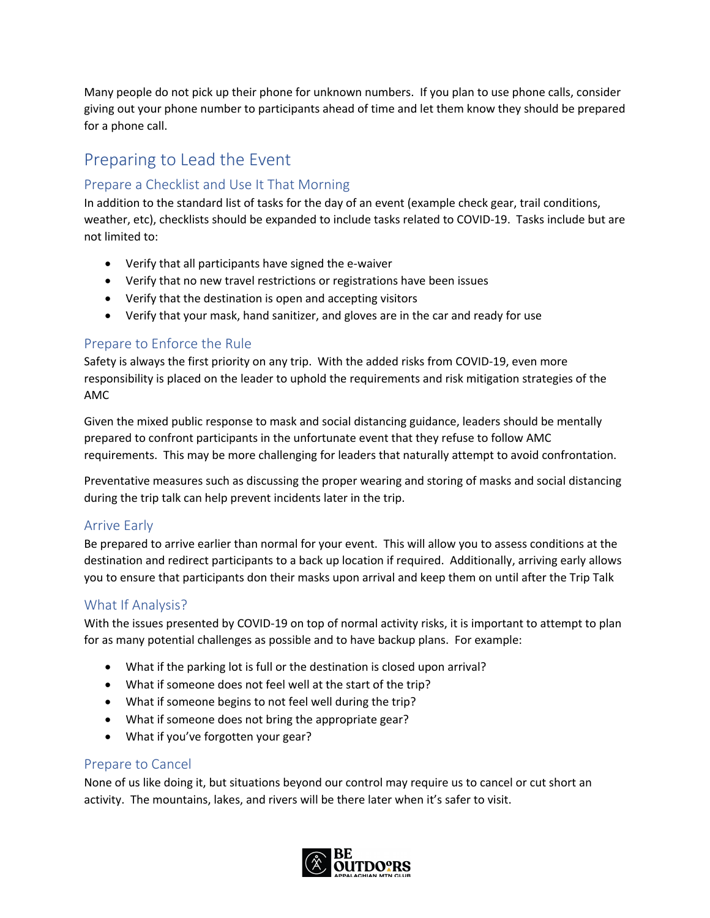Many people do not pick up their phone for unknown numbers. If you plan to use phone calls, consider giving out your phone number to participants ahead of time and let them know they should be prepared for a phone call.

# Preparing to Lead the Event

## Prepare a Checklist and Use It That Morning

In addition to the standard list of tasks for the day of an event (example check gear, trail conditions, weather, etc), checklists should be expanded to include tasks related to COVID-19. Tasks include but are not limited to:

- Verify that all participants have signed the e-waiver
- Verify that no new travel restrictions or registrations have been issues
- Verify that the destination is open and accepting visitors
- Verify that your mask, hand sanitizer, and gloves are in the car and ready for use

## Prepare to Enforce the Rule

Safety is always the first priority on any trip. With the added risks from COVID-19, even more responsibility is placed on the leader to uphold the requirements and risk mitigation strategies of the AMC

Given the mixed public response to mask and social distancing guidance, leaders should be mentally prepared to confront participants in the unfortunate event that they refuse to follow AMC requirements. This may be more challenging for leaders that naturally attempt to avoid confrontation.

Preventative measures such as discussing the proper wearing and storing of masks and social distancing during the trip talk can help prevent incidents later in the trip.

## Arrive Early

Be prepared to arrive earlier than normal for your event. This will allow you to assess conditions at the destination and redirect participants to a back up location if required. Additionally, arriving early allows you to ensure that participants don their masks upon arrival and keep them on until after the Trip Talk

## What If Analysis?

With the issues presented by COVID-19 on top of normal activity risks, it is important to attempt to plan for as many potential challenges as possible and to have backup plans. For example:

- What if the parking lot is full or the destination is closed upon arrival?
- What if someone does not feel well at the start of the trip?
- What if someone begins to not feel well during the trip?
- What if someone does not bring the appropriate gear?
- What if you've forgotten your gear?

## Prepare to Cancel

None of us like doing it, but situations beyond our control may require us to cancel or cut short an activity. The mountains, lakes, and rivers will be there later when it's safer to visit.